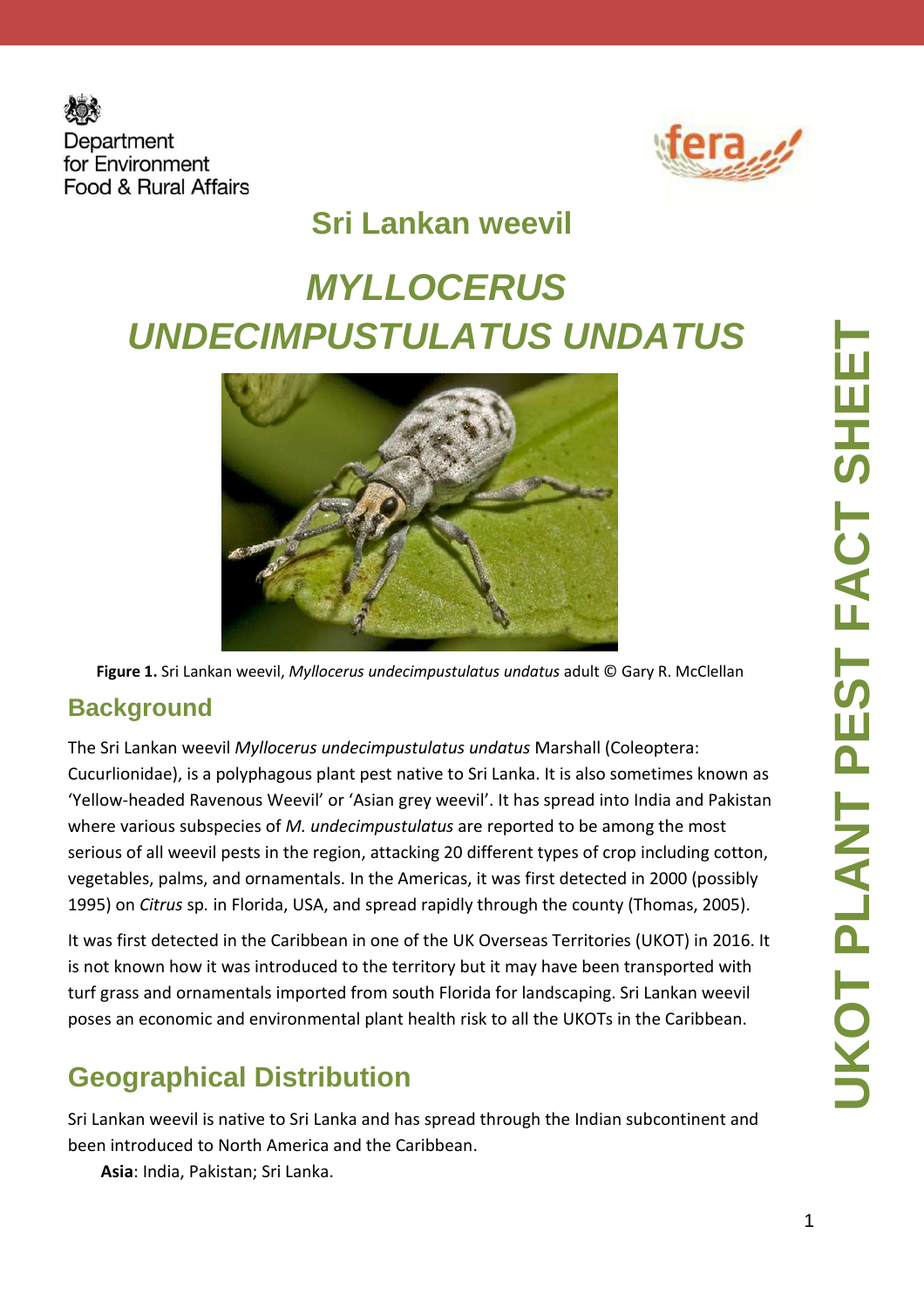



# **Sri Lankan weevil**

# **MYLLOCERUS UNDECIMPUSTULATUS UNDATUS**



**Figure 1.** Sri Lankan weevil, *Myllocerus undecimpustulatus undatus* adult © Gary R. McClellan

#### **Background**

The Sri Lankan weevil *Myllocerus undecimpustulatus undatus* Marshall (Coleoptera: Cucurlionidae), is a polyphagous plant pest native to Sri Lanka. It is also sometimes known as 'Yellow-headed Ravenous Weevil' or 'Asian grey weevil'. It has spread into India and Pakistan where various subspecies of *M. undecimpustulatus* are reported to be among the most serious of all weevil pests in the region, attacking 20 different types of crop including cotton, vegetables, palms, and ornamentals. In the Americas, it was first detected in 2000 (possibly 1995) on *Citrus* sp*.* in Florida, USA, and spread rapidly through the county (Thomas, 2005).

It was first detected in the Caribbean in one of the UK Overseas Territories (UKOT) in 2016. It is not known how it was introduced to the territory but it may have been transported with turf grass and ornamentals imported from south Florida for landscaping. Sri Lankan weevil poses an economic and environmental plant health risk to all the UKOTs in the Caribbean.

#### **Geographical Distribution**

Sri Lankan weevil is native to Sri Lanka and has spread through the Indian subcontinent and been introduced to North America and the Caribbean.

**Asia**: India, Pakistan; Sri Lanka.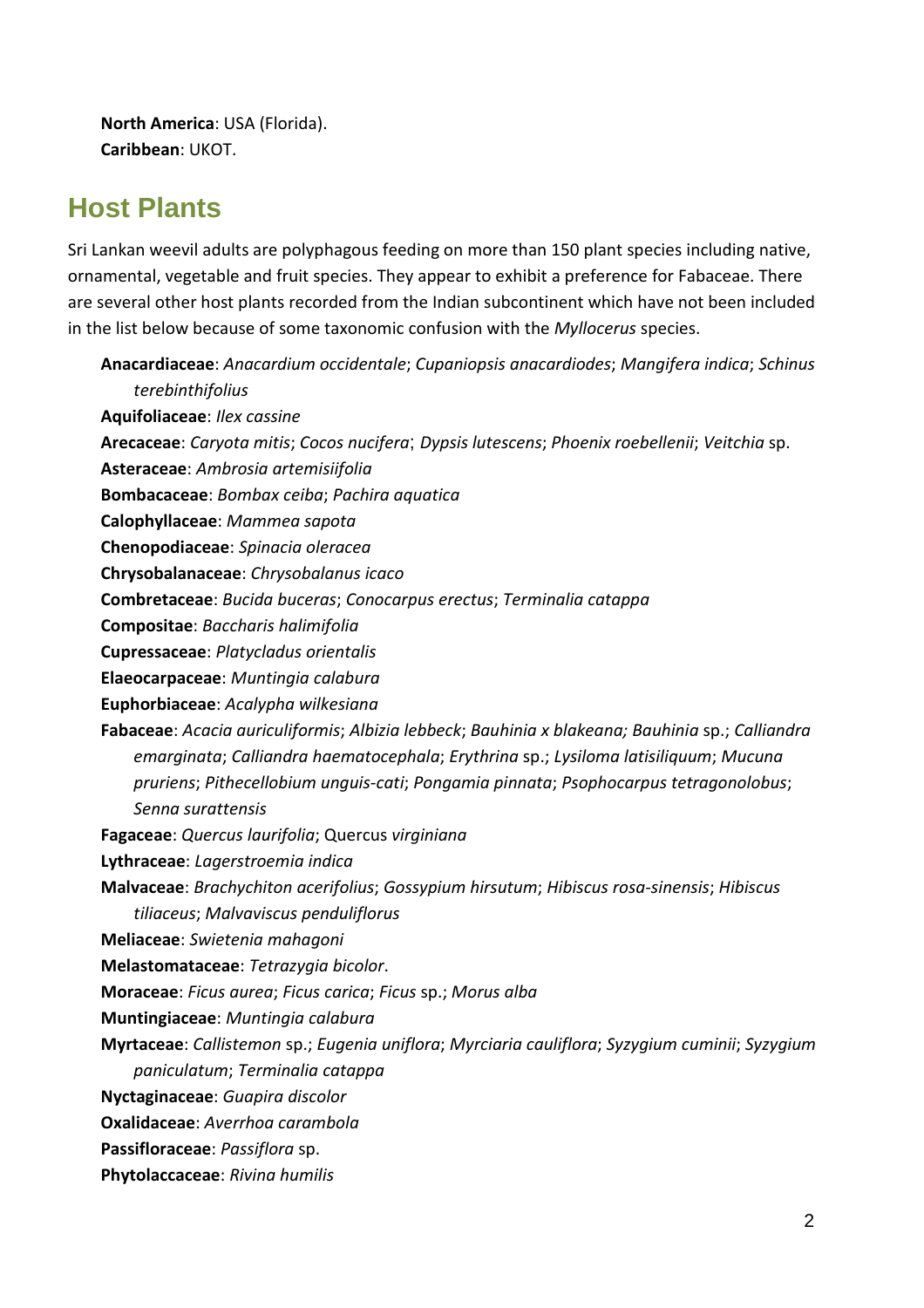**North America**: USA (Florida). **Caribbean**: UKOT.

#### **Host Plants**

Sri Lankan weevil adults are polyphagous feeding on more than 150 plant species including native, ornamental, vegetable and fruit species. They appear to exhibit a preference for Fabaceae. There are several other host plants recorded from the Indian subcontinent which have not been included in the list below because of some taxonomic confusion with the *Myllocerus* species.

| Anacardiaceae: Anacardium occidentale; Cupaniopsis anacardiodes; Mangifera indica; Schinus      |
|-------------------------------------------------------------------------------------------------|
| terebinthifolius                                                                                |
| Aquifoliaceae: Ilex cassine                                                                     |
| Arecaceae: Caryota mitis; Cocos nucifera; Dypsis lutescens; Phoenix roebellenii; Veitchia sp.   |
| Asteraceae: Ambrosia artemisiifolia                                                             |
| Bombacaceae: Bombax ceiba; Pachira aquatica                                                     |
| Calophyllaceae: Mammea sapota                                                                   |
| Chenopodiaceae: Spinacia oleracea                                                               |
| Chrysobalanaceae: Chrysobalanus icaco                                                           |
| Combretaceae: Bucida buceras; Conocarpus erectus; Terminalia catappa                            |
| Compositae: Baccharis halimifolia                                                               |
| Cupressaceae: Platycladus orientalis                                                            |
| Elaeocarpaceae: Muntingia calabura                                                              |
| Euphorbiaceae: Acalypha wilkesiana                                                              |
| Fabaceae: Acacia auriculiformis; Albizia lebbeck; Bauhinia x blakeana; Bauhinia sp.; Calliandra |
| emarginata; Calliandra haematocephala; Erythrina sp.; Lysiloma latisiliquum; Mucuna             |
| pruriens; Pithecellobium unguis-cati; Pongamia pinnata; Psophocarpus tetragonolobus;            |
| Senna surattensis                                                                               |
| Fagaceae: Quercus laurifolia; Quercus virginiana                                                |
| Lythraceae: Lagerstroemia indica                                                                |
| Malvaceae: Brachychiton acerifolius; Gossypium hirsutum; Hibiscus rosa-sinensis; Hibiscus       |
| tiliaceus; Malvaviscus penduliflorus                                                            |
| Meliaceae: Swietenia mahagoni                                                                   |
| Melastomataceae: Tetrazygia bicolor.                                                            |
| Moraceae: Ficus aurea; Ficus carica; Ficus sp.; Morus alba                                      |
| Muntingiaceae: Muntingia calabura                                                               |
| Myrtaceae: Callistemon sp.; Eugenia uniflora; Myrciaria cauliflora; Syzygium cuminii; Syzygium  |
| paniculatum; Terminalia catappa                                                                 |
| Nyctaginaceae: Guapira discolor                                                                 |
| Oxalidaceae: Averrhoa carambola                                                                 |
| Passifloraceae: Passiflora sp.                                                                  |
| Phytolaccaceae: Rivina humilis                                                                  |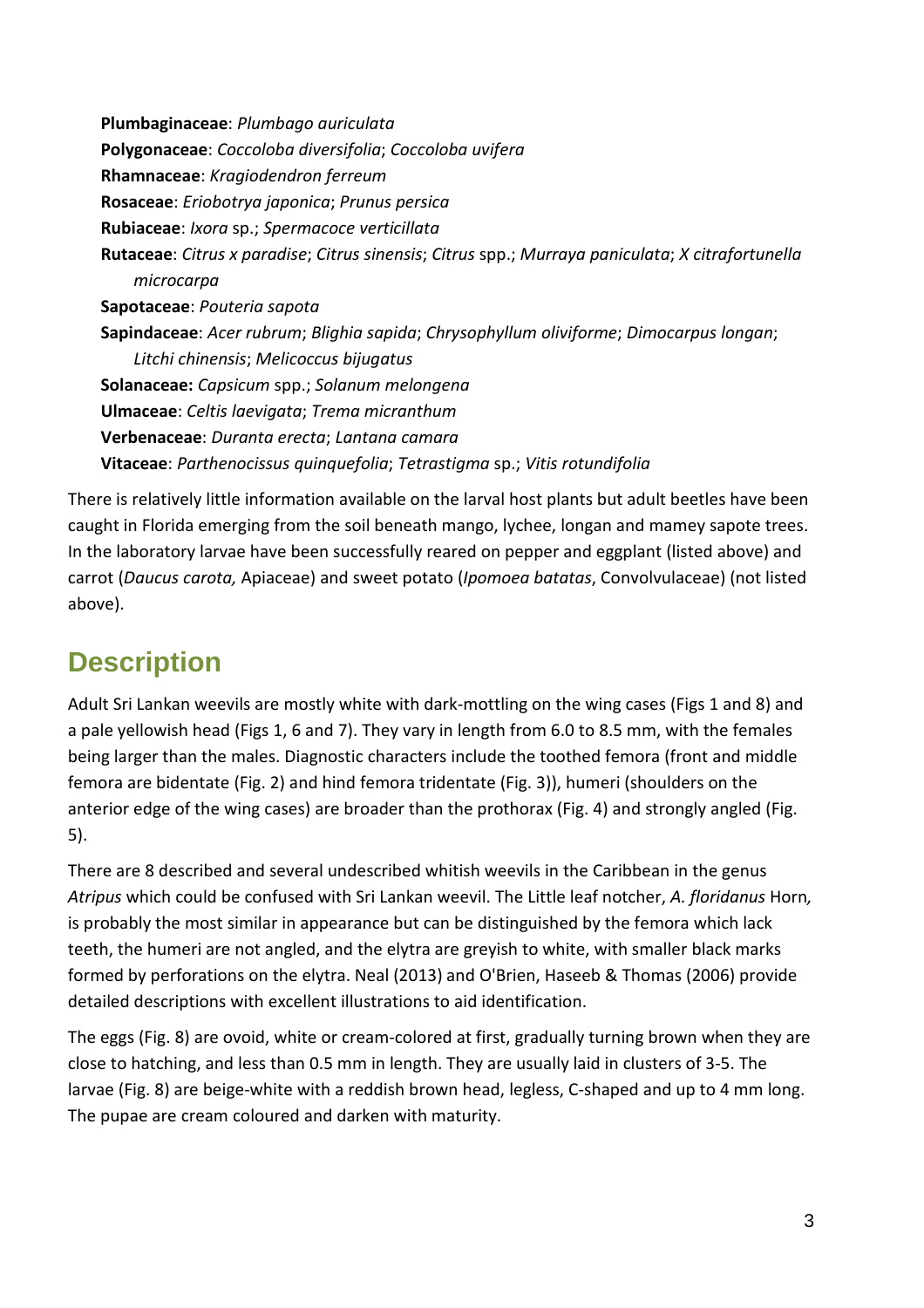**Plumbaginaceae**: *Plumbago auriculata*  **Polygonaceae**: *Coccoloba diversifolia*; *Coccoloba uvifera* **Rhamnaceae**: *Kragiodendron ferreum* **Rosaceae**: *Eriobotrya japonica*; *Prunus persica* **Rubiaceae**: *Ixora* sp.; *Spermacoce verticillata* **Rutaceae**: *Citrus x paradise*; *Citrus sinensis*; *Citrus* spp.; *Murraya paniculata*; *X citrafortunella microcarpa* **Sapotaceae**: *Pouteria sapota* **Sapindaceae**: *Acer rubrum*; *Blighia sapida*; *Chrysophyllum oliviforme*; *Dimocarpus longan*; *Litchi chinensis*; *Melicoccus bijugatus* **Solanaceae:** *Capsicum* spp.; *Solanum melongena* **Ulmaceae**: *Celtis laevigata*; *Trema micranthum* **Verbenaceae**: *Duranta erecta*; *Lantana camara* **Vitaceae**: *Parthenocissus quinquefolia*; *Tetrastigma* sp.; *Vitis rotundifolia*

There is relatively little information available on the larval host plants but adult beetles have been caught in Florida emerging from the soil beneath mango, lychee, longan and mamey sapote trees. In the laboratory larvae have been successfully reared on pepper and eggplant (listed above) and carrot (*Daucus carota,* Apiaceae) and sweet potato (*Ipomoea batatas*, Convolvulaceae) (not listed above).

## **Description**

Adult Sri Lankan weevils are mostly white with dark-mottling on the wing cases (Figs 1 and 8) and a pale yellowish head (Figs 1, 6 and 7). They vary in length from 6.0 to 8.5 mm, with the females being larger than the males. Diagnostic characters include the toothed femora (front and middle femora are bidentate (Fig. 2) and hind femora tridentate (Fig. 3)), humeri (shoulders on the anterior edge of the wing cases) are broader than the prothorax (Fig. 4) and strongly angled (Fig. 5).

There are 8 described and several undescribed whitish weevils in the Caribbean in the genus *Atripus* which could be confused with Sri Lankan weevil. The Little leaf notcher, *A. floridanus* Horn*,*  is probably the most similar in appearance but can be distinguished by the femora which lack teeth, the humeri are not angled, and the elytra are greyish to white, with smaller black marks formed by perforations on the elytra. Neal (2013) and O'Brien, Haseeb & Thomas (2006) provide detailed descriptions with excellent illustrations to aid identification.

The eggs (Fig. 8) are ovoid, white or cream-colored at first, gradually turning brown when they are close to hatching, and less than 0.5 mm in length. They are usually laid in clusters of 3-5. The larvae (Fig. 8) are beige-white with a reddish brown head, legless, C-shaped and up to 4 mm long. The pupae are cream coloured and darken with maturity.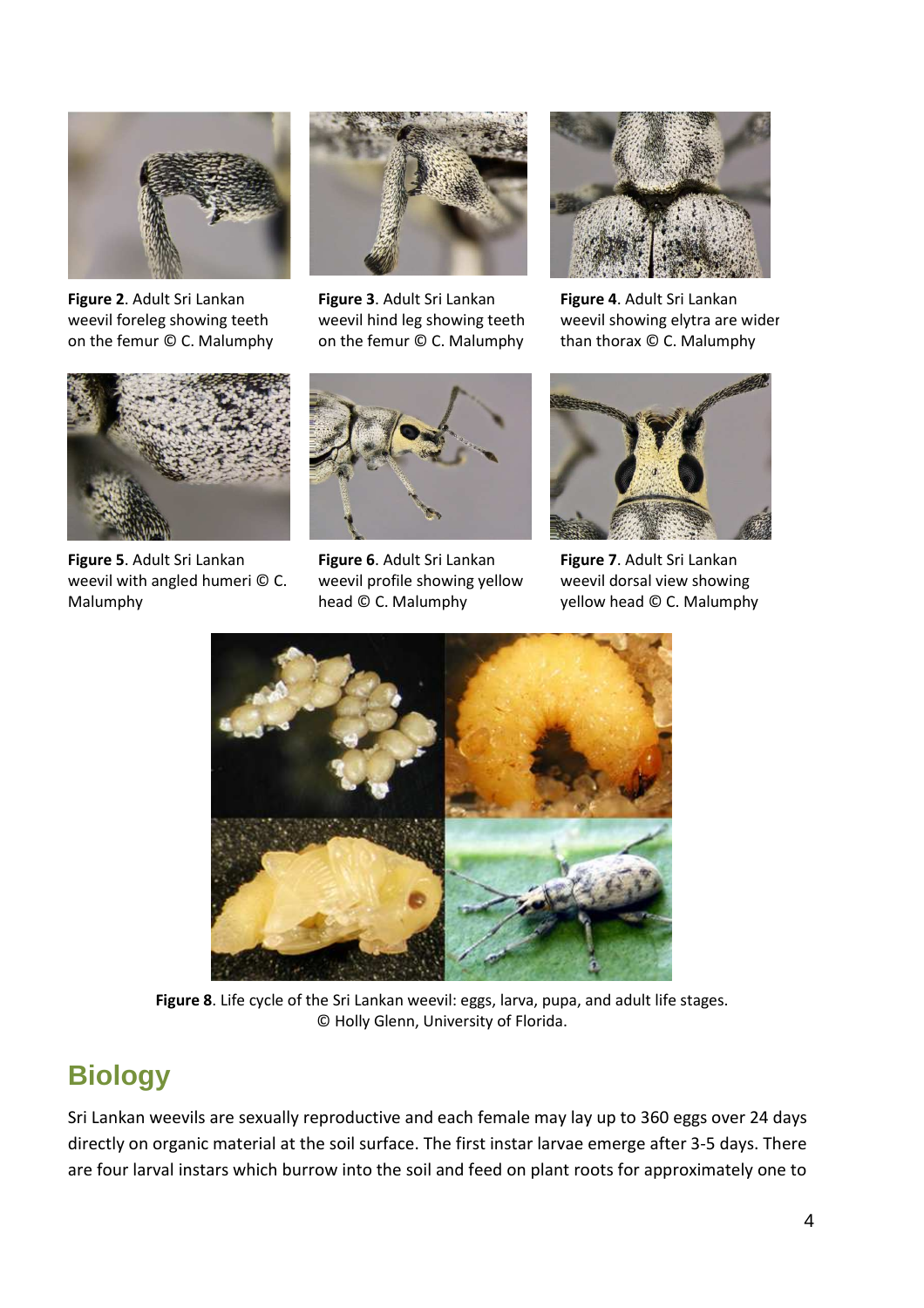

**Figure 2**. Adult Sri Lankan weevil foreleg showing teeth on the femur © C. Malumphy



**Figure 3**. Adult Sri Lankan weevil hind leg showing teeth on the femur © C. Malumphy



**Figure 4**. Adult Sri Lankan weevil showing elytra are wider than thorax © C. Malumphy



**Figure 5**. Adult Sri Lankan weevil with angled humeri © C. Malumphy



**Figure 6**. Adult Sri Lankan weevil profile showing yellow head © C. Malumphy



**Figure 7**. Adult Sri Lankan weevil dorsal view showing yellow head © C. Malumphy



**Figure 8**. Life cycle of the Sri Lankan weevil: eggs, larva, pupa, and adult life stages. © Holly Glenn, University of Florida.

#### **Biology**

Sri Lankan weevils are sexually reproductive and each female may lay up to 360 eggs over 24 days directly on organic material at the soil surface. The first instar larvae emerge after 3-5 days. There are four larval instars which burrow into the soil and feed on plant roots for approximately one to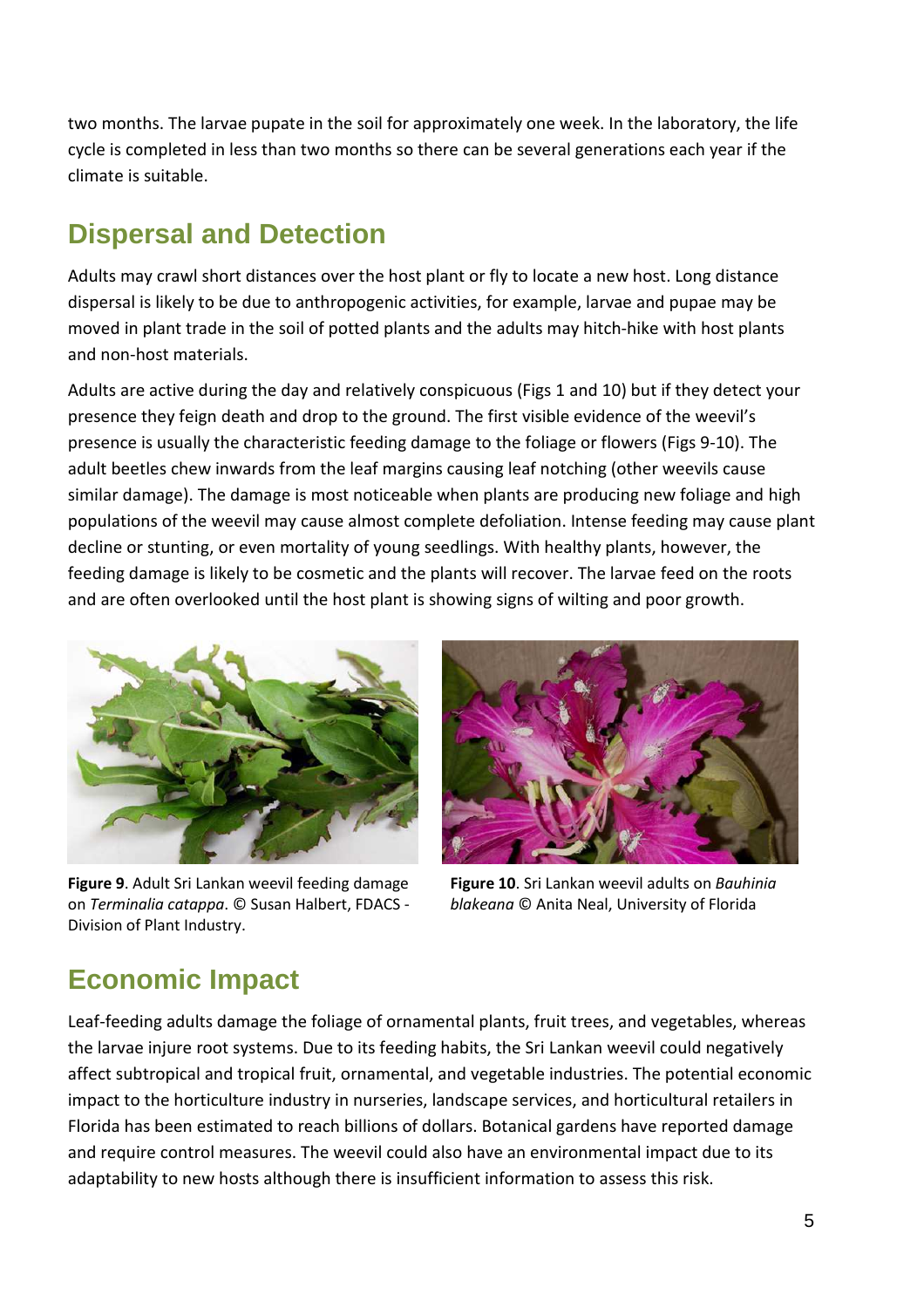two months. The larvae pupate in the soil for approximately one week. In the laboratory, the life cycle is completed in less than two months so there can be several generations each year if the climate is suitable.

#### **Dispersal and Detection**

Adults may crawl short distances over the host plant or fly to locate a new host. Long distance dispersal is likely to be due to anthropogenic activities, for example, larvae and pupae may be moved in plant trade in the soil of potted plants and the adults may hitch-hike with host plants and non-host materials.

Adults are active during the day and relatively conspicuous (Figs 1 and 10) but if they detect your presence they feign death and drop to the ground. The first visible evidence of the weevil's presence is usually the characteristic feeding damage to the foliage or flowers (Figs 9-10). The adult beetles chew inwards from the leaf margins causing leaf notching (other weevils cause similar damage). The damage is most noticeable when plants are producing new foliage and high populations of the weevil may cause almost complete defoliation. Intense feeding may cause plant decline or stunting, or even mortality of young seedlings. With healthy plants, however, the feeding damage is likely to be cosmetic and the plants will recover. The larvae feed on the roots and are often overlooked until the host plant is showing signs of wilting and poor growth.



**Figure 9**. Adult Sri Lankan weevil feeding damage on *Terminalia catappa*. © Susan Halbert, FDACS - Division of Plant Industry.



**Figure 10**. Sri Lankan weevil adults on *Bauhinia blakeana* © Anita Neal, University of Florida

### **Economic Impact**

Leaf-feeding adults damage the foliage of ornamental plants, fruit trees, and vegetables, whereas the larvae injure root systems. Due to its feeding habits, the Sri Lankan weevil could negatively affect subtropical and tropical fruit, ornamental, and vegetable industries. The potential economic impact to the horticulture industry in nurseries, landscape services, and horticultural retailers in Florida has been estimated to reach billions of dollars. Botanical gardens have reported damage and require control measures. The weevil could also have an environmental impact due to its adaptability to new hosts although there is insufficient information to assess this risk.